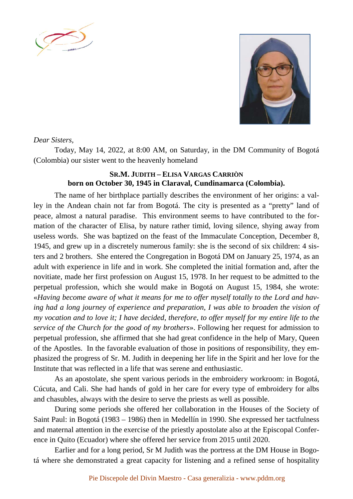



## *Dear Sisters,*

Today, May 14, 2022, at 8:00 AM, on Saturday, in the DM Community of Bogotá (Colombia) our sister went to the heavenly homeland

## **SR.M. JUDITH – ELISA VARGAS CARRIÒN born on October 30, 1945 in Claraval, Cundinamarca (Colombia).**

The name of her birthplace partially describes the environment of her origins: a valley in the Andean chain not far from Bogotá. The city is presented as a "pretty" land of peace, almost a natural paradise. This environment seems to have contributed to the formation of the character of Elisa, by nature rather timid, loving silence, shying away from useless words. She was baptized on the feast of the Immaculate Conception, December 8, 1945, and grew up in a discretely numerous family: she is the second of six children: 4 sisters and 2 brothers. She entered the Congregation in Bogotá DM on January 25, 1974, as an adult with experience in life and in work. She completed the initial formation and, after the novitiate, made her first profession on August 15, 1978. In her request to be admitted to the perpetual profession, which she would make in Bogotá on August 15, 1984, she wrote: «*Having become aware of what it means for me to offer myself totally to the Lord and having had a long journey of experience and preparation, I was able to broaden the vision of my vocation and to love it; I have decided, therefore, to offer myself for my entire life to the service of the Church for the good of my brothers*». Following her request for admission to perpetual profession, she affirmed that she had great confidence in the help of Mary, Queen of the Apostles. In the favorable evaluation of those in positions of responsibility, they emphasized the progress of Sr. M. Judith in deepening her life in the Spirit and her love for the Institute that was reflected in a life that was serene and enthusiastic.

As an apostolate, she spent various periods in the embroidery workroom: in Bogotá, Cúcuta, and Cali. She had hands of gold in her care for every type of embroidery for albs and chasubles, always with the desire to serve the priests as well as possible.

During some periods she offered her collaboration in the Houses of the Society of Saint Paul: in Bogotá (1983 – 1986) then in Medellín in 1990. She expressed her tactfulness and maternal attention in the exercise of the priestly apostolate also at the Episcopal Conference in Quito (Ecuador) where she offered her service from 2015 until 2020.

Earlier and for a long period, Sr M Judith was the portress at the DM House in Bogotá where she demonstrated a great capacity for listening and a refined sense of hospitality